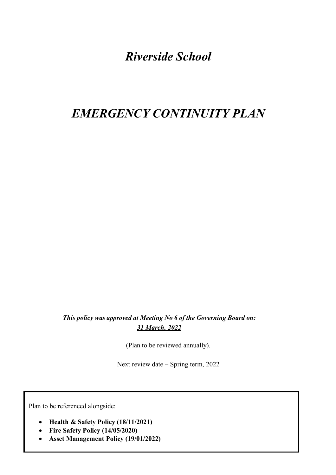## *Riverside School*

# *EMERGENCY CONTINUITY PLAN*

*This policy was approved at Meeting No 6 of the Governing Board on: 31 March, 2022*

(Plan to be reviewed annually).

Next review date – Spring term, 2022

Plan to be referenced alongside:

- **Health & Safety Policy (18/11/2021)**
- **Fire Safety Policy (14/05/2020)**
- **Asset Management Policy (19/01/2022)**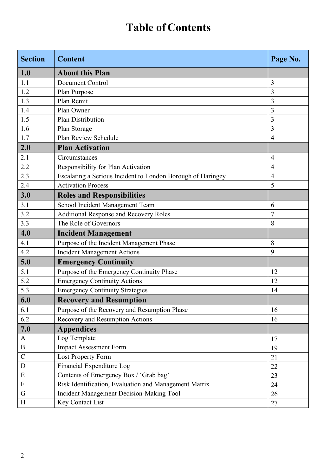# **Table of Contents**

| <b>Section</b> | <b>Content</b>                                              | Page No.       |  |
|----------------|-------------------------------------------------------------|----------------|--|
| 1.0            | <b>About this Plan</b>                                      |                |  |
| 1.1            | Document Control                                            | 3              |  |
| 1.2            | Plan Purpose                                                | 3              |  |
| 1.3            | Plan Remit                                                  | 3              |  |
| 1.4            | Plan Owner                                                  | 3              |  |
| 1.5            | Plan Distribution                                           | 3              |  |
| 1.6            | Plan Storage                                                | 3              |  |
| 1.7            | Plan Review Schedule                                        | $\overline{4}$ |  |
| 2.0            | <b>Plan Activation</b>                                      |                |  |
| 2.1            | Circumstances                                               | $\overline{4}$ |  |
| 2.2            | Responsibility for Plan Activation                          | $\overline{4}$ |  |
| 2.3            | Escalating a Serious Incident to London Borough of Haringey | $\overline{4}$ |  |
| 2.4            | <b>Activation Process</b>                                   | 5              |  |
| 3.0            | <b>Roles and Responsibilities</b>                           |                |  |
| 3.1            | School Incident Management Team                             | 6              |  |
| 3.2            | <b>Additional Response and Recovery Roles</b>               | $\overline{7}$ |  |
| 3.3            | The Role of Governors                                       | 8              |  |
| 4.0            | <b>Incident Management</b>                                  |                |  |
| 4.1            | Purpose of the Incident Management Phase                    | 8              |  |
| 4.2            | <b>Incident Management Actions</b>                          | 9              |  |
| 5.0            | <b>Emergency Continuity</b>                                 |                |  |
| 5.1            | Purpose of the Emergency Continuity Phase                   | 12             |  |
| 5.2            | <b>Emergency Continuity Actions</b>                         | 12             |  |
| 5.3            | <b>Emergency Continuity Strategies</b>                      | 14             |  |
| 6.0            | <b>Recovery and Resumption</b>                              |                |  |
| 6.1            | Purpose of the Recovery and Resumption Phase                | 16             |  |
| 6.2            | Recovery and Resumption Actions                             | 16             |  |
| 7.0            | <b>Appendices</b>                                           |                |  |
| A              | Log Template                                                | 17             |  |
| $\bf{B}$       | <b>Impact Assessment Form</b>                               | 19             |  |
| $\mathcal{C}$  | Lost Property Form                                          | 21             |  |
| D              | Financial Expenditure Log                                   | 22             |  |
| E              | Contents of Emergency Box / 'Grab bag'                      | 23             |  |
| ${\bf F}$      | Risk Identification, Evaluation and Management Matrix       | 24             |  |
| G              | Incident Management Decision-Making Tool                    | 26             |  |
| H              | Key Contact List                                            | 27             |  |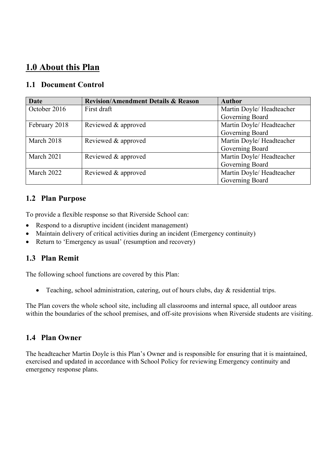## **1.0 About this Plan**

### **1.1 Document Control**

| <b>Date</b>   | <b>Revision/Amendment Details &amp; Reason</b> | <b>Author</b>             |
|---------------|------------------------------------------------|---------------------------|
| October 2016  | First draft                                    | Martin Doyle/ Headteacher |
|               |                                                | Governing Board           |
| February 2018 | Reviewed & approved                            | Martin Doyle/ Headteacher |
|               |                                                | Governing Board           |
| March 2018    | Reviewed & approved                            | Martin Doyle/ Headteacher |
|               |                                                | Governing Board           |
| March 2021    | Reviewed & approved                            | Martin Doyle/ Headteacher |
|               |                                                | Governing Board           |
| March 2022    | Reviewed & approved                            | Martin Doyle/ Headteacher |
|               |                                                | Governing Board           |

### **1.2 Plan Purpose**

To provide a flexible response so that Riverside School can:

- Respond to a disruptive incident (incident management)
- Maintain delivery of critical activities during an incident (Emergency continuity)
- Return to 'Emergency as usual' (resumption and recovery)

#### **1.3 Plan Remit**

The following school functions are covered by this Plan:

• Teaching, school administration, catering, out of hours clubs, day  $\&$  residential trips.

The Plan covers the whole school site, including all classrooms and internal space, all outdoor areas within the boundaries of the school premises, and off-site provisions when Riverside students are visiting.

#### **1.4 Plan Owner**

The headteacher Martin Doyle is this Plan's Owner and is responsible for ensuring that it is maintained, exercised and updated in accordance with School Policy for reviewing Emergency continuity and emergency response plans.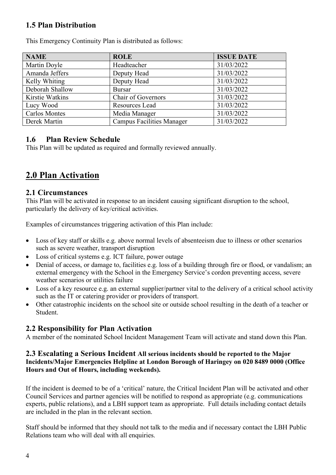### **1.5 Plan Distribution**

| <b>NAME</b>          | <b>ROLE</b>                      | <b>ISSUE DATE</b> |
|----------------------|----------------------------------|-------------------|
| Martin Doyle         | Headteacher                      | 31/03/2022        |
| Amanda Jeffers       | Deputy Head                      | 31/03/2022        |
| Kelly Whiting        | Deputy Head                      | 31/03/2022        |
| Deborah Shallow      | <b>Bursar</b>                    | 31/03/2022        |
| Kirstie Watkins      | <b>Chair of Governors</b>        | 31/03/2022        |
| Lucy Wood            | Resources Lead                   | 31/03/2022        |
| <b>Carlos Montes</b> | Media Manager                    | 31/03/2022        |
| Derek Martin         | <b>Campus Facilities Manager</b> | 31/03/2022        |

This Emergency Continuity Plan is distributed as follows:

### **1.6 Plan Review Schedule**

This Plan will be updated as required and formally reviewed annually.

## **2.0 Plan Activation**

#### **2.1 Circumstances**

This Plan will be activated in response to an incident causing significant disruption to the school, particularly the delivery of key/critical activities.

Examples of circumstances triggering activation of this Plan include:

- Loss of key staff or skills e.g. above normal levels of absenteeism due to illness or other scenarios such as severe weather, transport disruption
- Loss of critical systems e.g. ICT failure, power outage
- Denial of access, or damage to, facilities e.g. loss of a building through fire or flood, or vandalism; an external emergency with the School in the Emergency Service's cordon preventing access, severe weather scenarios or utilities failure
- Loss of a key resource e.g. an external supplier/partner vital to the delivery of a critical school activity such as the IT or catering provider or providers of transport.
- Other catastrophic incidents on the school site or outside school resulting in the death of a teacher or Student.

### **2.2 Responsibility for Plan Activation**

A member of the nominated School Incident Management Team will activate and stand down this Plan.

#### **2.3 Escalating a Serious Incident All serious incidents should be reported to the Major Incidents/Major Emergencies Helpline at London Borough of Haringey on 020 8489 0000 (Office Hours and Out of Hours, including weekends).**

If the incident is deemed to be of a 'critical' nature, the Critical Incident Plan will be activated and other Council Services and partner agencies will be notified to respond as appropriate (e.g. communications experts, public relations), and a LBH support team as appropriate. Full details including contact details are included in the plan in the relevant section.

Staff should be informed that they should not talk to the media and if necessary contact the LBH Public Relations team who will deal with all enquiries.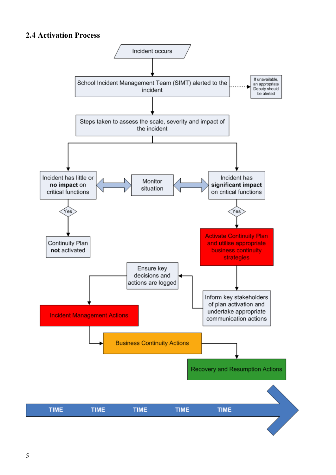### **2.4 Activation Process**

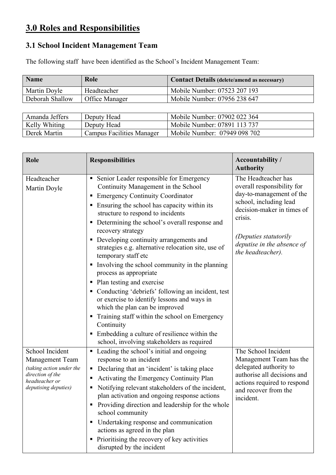## **3.0 Roles and Responsibilities**

### **3.1 School Incident Management Team**

The following staff have been identified as the School's Incident Management Team:

| <b>Name</b>     | Role           | <b>Contact Details (delete/amend as necessary)</b> |
|-----------------|----------------|----------------------------------------------------|
| Martin Doyle    | Headteacher    | Mobile Number: 07523 207 193                       |
| Deborah Shallow | Office Manager | Mobile Number: 07956 238 647                       |

| Amanda Jeffers | Deputy Head                      | Mobile Number: 07902 022 364 |
|----------------|----------------------------------|------------------------------|
| Kelly Whiting  | Deputy Head                      | Mobile Number: 07891 113 737 |
| Derek Martin   | <b>Campus Facilities Manager</b> | Mobile Number: 07949 098 702 |

| Role                                                                                                                         | <b>Responsibilities</b>                                                                                                                                                                                                                                                                                                                                                                                                                                                                                                                                                                                                                                                                                                                                                                                                                                                   | <b>Accountability /</b><br><b>Authority</b>                                                                                                                                                                                  |
|------------------------------------------------------------------------------------------------------------------------------|---------------------------------------------------------------------------------------------------------------------------------------------------------------------------------------------------------------------------------------------------------------------------------------------------------------------------------------------------------------------------------------------------------------------------------------------------------------------------------------------------------------------------------------------------------------------------------------------------------------------------------------------------------------------------------------------------------------------------------------------------------------------------------------------------------------------------------------------------------------------------|------------------------------------------------------------------------------------------------------------------------------------------------------------------------------------------------------------------------------|
| Headteacher<br>Martin Doyle                                                                                                  | Senior Leader responsible for Emergency<br>п<br>Continuity Management in the School<br><b>Emergency Continuity Coordinator</b><br>п<br>Ensuring the school has capacity within its<br>п<br>structure to respond to incidents<br>Determining the school's overall response and<br>ш<br>recovery strategy<br>Developing continuity arrangements and<br>п<br>strategies e.g. alternative relocation site, use of<br>temporary staff etc<br>Involving the school community in the planning<br>п<br>process as appropriate<br>Plan testing and exercise<br>п<br>Conducting 'debriefs' following an incident, test<br>ш<br>or exercise to identify lessons and ways in<br>which the plan can be improved<br>Training staff within the school on Emergency<br>п<br>Continuity<br>Embedding a culture of resilience within the<br>Ξ<br>school, involving stakeholders as required | The Headteacher has<br>overall responsibility for<br>day-to-management of the<br>school, including lead<br>decision-maker in times of<br>crisis.<br>(Deputies statutorily<br>deputise in the absence of<br>the headteacher). |
| School Incident<br>Management Team<br>(taking action under the<br>direction of the<br>headteacher or<br>deputising deputies) | Leading the school's initial and ongoing<br>٠<br>response to an incident<br>Declaring that an 'incident' is taking place<br>п<br>Activating the Emergency Continuity Plan<br>п<br>Notifying relevant stakeholders of the incident,<br>٠<br>plan activation and ongoing response actions<br>Providing direction and leadership for the whole<br>school community<br>Undertaking response and communication<br>п<br>actions as agreed in the plan<br>Prioritising the recovery of key activities<br>٠<br>disrupted by the incident                                                                                                                                                                                                                                                                                                                                          | The School Incident<br>Management Team has the<br>delegated authority to<br>authorise all decisions and<br>actions required to respond<br>and recover from the<br>incident.                                                  |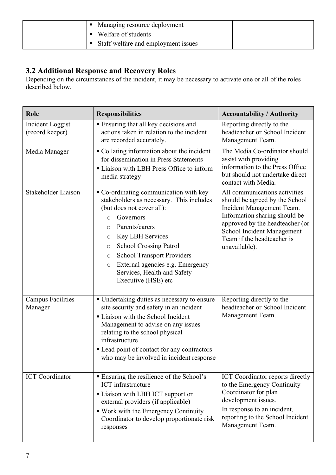| Managing resource deployment          |  |
|---------------------------------------|--|
| Welfare of students                   |  |
| • Staff welfare and employment issues |  |

### **3.2 Additional Response and Recovery Roles**

Depending on the circumstances of the incident, it may be necessary to activate one or all of the roles described below.

| Role                                | <b>Responsibilities</b>                                                                                                                                                                                                                                                                                                                                                                       | <b>Accountability / Authority</b>                                                                                                                                                                                                             |
|-------------------------------------|-----------------------------------------------------------------------------------------------------------------------------------------------------------------------------------------------------------------------------------------------------------------------------------------------------------------------------------------------------------------------------------------------|-----------------------------------------------------------------------------------------------------------------------------------------------------------------------------------------------------------------------------------------------|
| Incident Loggist<br>(record keeper) | • Ensuring that all key decisions and<br>actions taken in relation to the incident<br>are recorded accurately.                                                                                                                                                                                                                                                                                | Reporting directly to the<br>headteacher or School Incident<br>Management Team.                                                                                                                                                               |
| Media Manager                       | • Collating information about the incident<br>for dissemination in Press Statements<br>Liaison with LBH Press Office to inform<br>media strategy                                                                                                                                                                                                                                              | The Media Co-ordinator should<br>assist with providing<br>information to the Press Office<br>but should not undertake direct<br>contact with Media.                                                                                           |
| Stakeholder Liaison                 | Co-ordinating communication with key<br>stakeholders as necessary. This includes<br>(but does not cover all):<br>Governors<br>$\circ$<br>Parents/carers<br>O<br><b>Key LBH Services</b><br>O<br><b>School Crossing Patrol</b><br>$\circ$<br><b>School Transport Providers</b><br>$\circ$<br>External agencies e.g. Emergency<br>$\circ$<br>Services, Health and Safety<br>Executive (HSE) etc | All communications activities<br>should be agreed by the School<br>Incident Management Team.<br>Information sharing should be<br>approved by the headteacher (or<br>School Incident Management<br>Team if the headteacher is<br>unavailable). |
| <b>Campus Facilities</b><br>Manager | • Undertaking duties as necessary to ensure<br>site security and safety in an incident<br>Liaison with the School Incident<br>Management to advise on any issues<br>relating to the school physical<br>infrastructure<br>• Lead point of contact for any contractors<br>who may be involved in incident response                                                                              | Reporting directly to the<br>headteacher or School Incident<br>Management Team.                                                                                                                                                               |
| <b>ICT</b> Coordinator              | <b>Ensuring the resilience of the School's</b><br><b>ICT</b> infrastructure<br>• Liaison with LBH ICT support or<br>external providers (if applicable)<br>■ Work with the Emergency Continuity<br>Coordinator to develop proportionate risk<br>responses                                                                                                                                      | ICT Coordinator reports directly<br>to the Emergency Continuity<br>Coordinator for plan<br>development issues.<br>In response to an incident,<br>reporting to the School Incident<br>Management Team.                                         |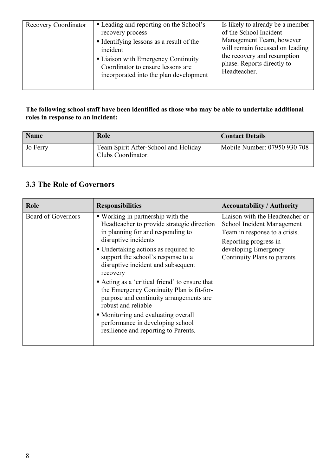#### **The following school staff have been identified as those who may be able to undertake additional roles in response to an incident:**

| <b>Name</b> | Role                                                       | <b>Contact Details</b>       |
|-------------|------------------------------------------------------------|------------------------------|
| Jo Ferry    | Team Spirit After-School and Holiday<br>Clubs Coordinator. | Mobile Number: 07950 930 708 |

### **3.3 The Role of Governors**

| Role               | <b>Responsibilities</b>                                                                                                                                                                                                                                                                                                                                                                                                                                                                                                                                          | <b>Accountability / Authority</b>                                                                                                                                              |
|--------------------|------------------------------------------------------------------------------------------------------------------------------------------------------------------------------------------------------------------------------------------------------------------------------------------------------------------------------------------------------------------------------------------------------------------------------------------------------------------------------------------------------------------------------------------------------------------|--------------------------------------------------------------------------------------------------------------------------------------------------------------------------------|
| Board of Governors | ■ Working in partnership with the<br>Headteacher to provide strategic direction<br>in planning for and responding to<br>disruptive incidents<br>• Undertaking actions as required to<br>support the school's response to a<br>disruptive incident and subsequent<br>recovery<br>• Acting as a 'critical friend' to ensure that<br>the Emergency Continuity Plan is fit-for-<br>purpose and continuity arrangements are<br>robust and reliable<br>• Monitoring and evaluating overall<br>performance in developing school<br>resilience and reporting to Parents. | Liaison with the Headteacher or<br>School Incident Management<br>Team in response to a crisis.<br>Reporting progress in<br>developing Emergency<br>Continuity Plans to parents |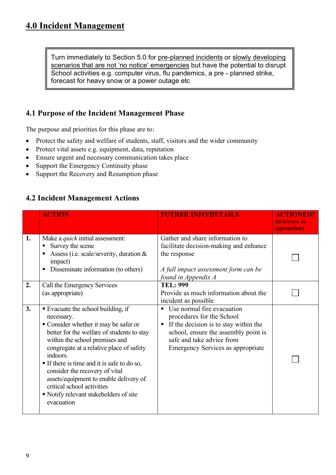Turn immediately to Section 5.0 for pre-planned incidents or slowly developing scenarios that are not 'no notice' emergencies but have the potential to disrupt School activities e.g. computer virus, flu pandemics, a pre - planned strike, forecast for heavy snow or a power outage etc

### **4.1 Purpose of the Incident Management Phase**

The purpose and priorities for this phase are to:

- Protect the safety and welfare of students, staff, visitors and the wider community
- Protect vital assets e.g. equipment, data, reputation
- Ensure urgent and necessary communication takes place
- Support the Emergency Continuity phase
- Support the Recovery and Resumption phase

#### **4.2 Incident Management Actions**

|    | <b>ACTION</b>                                                                                                                                                                                                                                                                                                                                                                                                                                  | <b>FUTHER INFO/DETAILS</b>                                                                                                                                                                                                  | <b>ACTIONED?</b><br>(tick/cross as<br><i><b>appropriate</b></i> |
|----|------------------------------------------------------------------------------------------------------------------------------------------------------------------------------------------------------------------------------------------------------------------------------------------------------------------------------------------------------------------------------------------------------------------------------------------------|-----------------------------------------------------------------------------------------------------------------------------------------------------------------------------------------------------------------------------|-----------------------------------------------------------------|
| 1. | Make a <i>quick</i> initial assessment:<br>Survey the scene<br>Assess (i.e. scale/severity, duration $\&$<br>п<br>impact)<br>Disseminate information (to others)<br>п                                                                                                                                                                                                                                                                          | Gather and share information to<br>facilitate decision-making and enhance<br>the response<br>A full impact assessment form can be<br>found in Appendix A                                                                    |                                                                 |
| 2. | Call the Emergency Services<br>(as appropriate)                                                                                                                                                                                                                                                                                                                                                                                                | <b>TEL: 999</b><br>Provide as much information about the<br>incident as possible                                                                                                                                            |                                                                 |
| 3. | • Evacuate the school building, if<br>necessary.<br>• Consider whether it may be safer or<br>better for the welfare of students to stay<br>within the school premises and<br>congregate at a relative place of safety<br>indoors.<br>If there is time and it is safe to do so,<br>consider the recovery of vital<br>assets/equipment to enable delivery of<br>critical school activities<br>Notify relevant stakeholders of site<br>evacuation | Use normal fire evacuation<br>п<br>procedures for the School<br>If the decision is to stay within the<br>п<br>school, ensure the assembly point is<br>safe and take advice from<br><b>Emergency Services as appropriate</b> |                                                                 |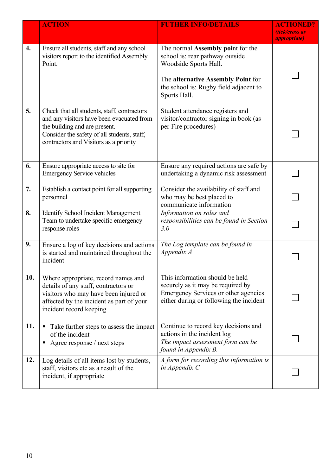|     | <b>ACTION</b>                                                                                                                                                                                                      | <b>FUTHER INFO/DETAILS</b>                                                                                                                                                                    | <b>ACTIONED?</b><br>(tick/cross as<br><i>appropriate</i> ) |
|-----|--------------------------------------------------------------------------------------------------------------------------------------------------------------------------------------------------------------------|-----------------------------------------------------------------------------------------------------------------------------------------------------------------------------------------------|------------------------------------------------------------|
| 4.  | Ensure all students, staff and any school<br>visitors report to the identified Assembly<br>Point.                                                                                                                  | The normal Assembly point for the<br>school is: rear pathway outside<br>Woodside Sports Hall.<br>The alternative Assembly Point for<br>the school is: Rugby field adjacent to<br>Sports Hall. |                                                            |
| 5.  | Check that all students, staff, contractors<br>and any visitors have been evacuated from<br>the building and are present.<br>Consider the safety of all students, staff,<br>contractors and Visitors as a priority | Student attendance registers and<br>visitor/contractor signing in book (as<br>per Fire procedures)                                                                                            |                                                            |
| 6.  | Ensure appropriate access to site for<br><b>Emergency Service vehicles</b>                                                                                                                                         | Ensure any required actions are safe by<br>undertaking a dynamic risk assessment                                                                                                              |                                                            |
| 7.  | Establish a contact point for all supporting<br>personnel                                                                                                                                                          | Consider the availability of staff and<br>who may be best placed to<br>communicate information                                                                                                |                                                            |
| 8.  | Identify School Incident Management<br>Team to undertake specific emergency<br>response roles                                                                                                                      | Information on roles and<br>responsibilities can be found in Section<br>3.0                                                                                                                   |                                                            |
| 9.  | Ensure a log of key decisions and actions<br>is started and maintained throughout the<br>incident                                                                                                                  | The Log template can be found in<br>Appendix A                                                                                                                                                |                                                            |
| 10. | Where appropriate, record names and<br>details of any staff, contractors or<br>visitors who may have been injured or<br>affected by the incident as part of your<br>incident record keeping                        | This information should be held<br>securely as it may be required by<br>Emergency Services or other agencies<br>either during or following the incident                                       |                                                            |
| 11. | Take further steps to assess the impact<br>٠<br>of the incident<br>Agree response / next steps<br>п                                                                                                                | Continue to record key decisions and<br>actions in the incident log<br>The impact assessment form can be<br>found in Appendix B.                                                              |                                                            |
| 12. | Log details of all items lost by students,<br>staff, visitors etc as a result of the<br>incident, if appropriate                                                                                                   | A form for recording this information is<br>in Appendix $C$                                                                                                                                   |                                                            |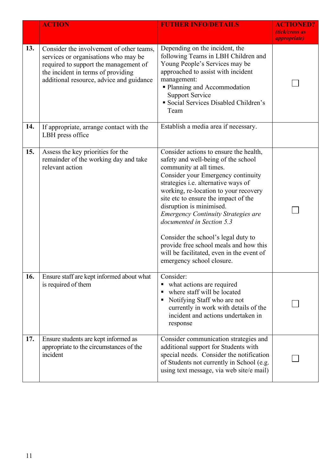|     | <b>ACTION</b>                                                                                                                                                                                               | <b>FUTHER INFO/DETAILS</b>                                                                                                                                                                                                                                                                                                                                                                                                                                                                                                               | <b>ACTIONED?</b><br>(tick/cross as<br><i>appropriate</i> ) |
|-----|-------------------------------------------------------------------------------------------------------------------------------------------------------------------------------------------------------------|------------------------------------------------------------------------------------------------------------------------------------------------------------------------------------------------------------------------------------------------------------------------------------------------------------------------------------------------------------------------------------------------------------------------------------------------------------------------------------------------------------------------------------------|------------------------------------------------------------|
| 13. | Consider the involvement of other teams,<br>services or organisations who may be<br>required to support the management of<br>the incident in terms of providing<br>additional resource, advice and guidance | Depending on the incident, the<br>following Teams in LBH Children and<br>Young People's Services may be<br>approached to assist with incident<br>management:<br>• Planning and Accommodation<br><b>Support Service</b><br>Social Services Disabled Children's<br>Team                                                                                                                                                                                                                                                                    |                                                            |
| 14. | If appropriate, arrange contact with the<br>LBH press office                                                                                                                                                | Establish a media area if necessary.                                                                                                                                                                                                                                                                                                                                                                                                                                                                                                     |                                                            |
| 15. | Assess the key priorities for the<br>remainder of the working day and take<br>relevant action                                                                                                               | Consider actions to ensure the health,<br>safety and well-being of the school<br>community at all times.<br>Consider your Emergency continuity<br>strategies i.e. alternative ways of<br>working, re-location to your recovery<br>site etc to ensure the impact of the<br>disruption is minimised.<br><b>Emergency Continuity Strategies are</b><br>documented in Section 5.3<br>Consider the school's legal duty to<br>provide free school meals and how this<br>will be facilitated, even in the event of<br>emergency school closure. |                                                            |
| 16. | Ensure staff are kept informed about what<br>is required of them                                                                                                                                            | Consider:<br>what actions are required<br>п<br>where staff will be located<br>٠<br>Notifying Staff who are not<br>currently in work with details of the<br>incident and actions undertaken in<br>response                                                                                                                                                                                                                                                                                                                                |                                                            |
| 17. | Ensure students are kept informed as<br>appropriate to the circumstances of the<br>incident                                                                                                                 | Consider communication strategies and<br>additional support for Students with<br>special needs. Consider the notification<br>of Students not currently in School (e.g.<br>using text message, via web site/e mail)                                                                                                                                                                                                                                                                                                                       |                                                            |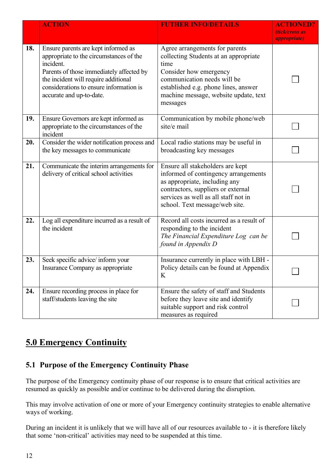|     | <b>ACTION</b>                                                                                                                                                                                                                                                                                                                                                                                                                                                                                   | <b>FUTHER INFO/DETAILS</b>                                                                                                                                                                                                | <b>ACTIONED?</b><br>(tick/cross as<br><i>appropriate</i> ) |
|-----|-------------------------------------------------------------------------------------------------------------------------------------------------------------------------------------------------------------------------------------------------------------------------------------------------------------------------------------------------------------------------------------------------------------------------------------------------------------------------------------------------|---------------------------------------------------------------------------------------------------------------------------------------------------------------------------------------------------------------------------|------------------------------------------------------------|
| 18. | Agree arrangements for parents<br>Ensure parents are kept informed as<br>appropriate to the circumstances of the<br>collecting Students at an appropriate<br>incident.<br>time<br>Parents of those immediately affected by<br>Consider how emergency<br>the incident will require additional<br>communication needs will be<br>considerations to ensure information is<br>established e.g. phone lines, answer<br>accurate and up-to-date.<br>machine message, website update, text<br>messages |                                                                                                                                                                                                                           |                                                            |
| 19. | Ensure Governors are kept informed as<br>appropriate to the circumstances of the<br>incident                                                                                                                                                                                                                                                                                                                                                                                                    | Communication by mobile phone/web<br>site/e mail                                                                                                                                                                          |                                                            |
| 20. | Consider the wider notification process and<br>the key messages to communicate                                                                                                                                                                                                                                                                                                                                                                                                                  | Local radio stations may be useful in<br>broadcasting key messages                                                                                                                                                        |                                                            |
| 21. | Communicate the interim arrangements for<br>delivery of critical school activities                                                                                                                                                                                                                                                                                                                                                                                                              | Ensure all stakeholders are kept<br>informed of contingency arrangements<br>as appropriate, including any<br>contractors, suppliers or external<br>services as well as all staff not in<br>school. Text message/web site. |                                                            |
| 22. | Log all expenditure incurred as a result of<br>the incident                                                                                                                                                                                                                                                                                                                                                                                                                                     | Record all costs incurred as a result of<br>responding to the incident<br>The Financial Expenditure Log can be<br>found in Appendix D                                                                                     |                                                            |
| 23. | Seek specific advice/ inform your<br>Insurance Company as appropriate                                                                                                                                                                                                                                                                                                                                                                                                                           | Insurance currently in place with LBH -<br>Policy details can be found at Appendix<br>K                                                                                                                                   |                                                            |
| 24. | Ensure recording process in place for<br>staff/students leaving the site                                                                                                                                                                                                                                                                                                                                                                                                                        | Ensure the safety of staff and Students<br>before they leave site and identify<br>suitable support and risk control<br>measures as required                                                                               |                                                            |

## **5.0 Emergency Continuity**

### **5.1 Purpose of the Emergency Continuity Phase**

The purpose of the Emergency continuity phase of our response is to ensure that critical activities are resumed as quickly as possible and/or continue to be delivered during the disruption.

This may involve activation of one or more of your Emergency continuity strategies to enable alternative ways of working.

During an incident it is unlikely that we will have all of our resources available to - it is therefore likely that some 'non-critical' activities may need to be suspended at this time.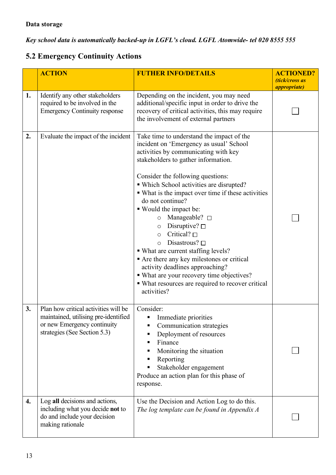*Key school data is automatically backed-up in LGFL's cloud. LGFL Atomwide- tel 020 8555 555*

## **5.2 Emergency Continuity Actions**

|    | <b>ACTION</b>                                                                                                                               | <b>FUTHER INFO/DETAILS</b>                                                                                                                                                                                                                                                                                                                                                                                                                                                                                                                                                                                                                                                                                                                    | <b>ACTIONED?</b><br>(tick/cross as<br><i>appropriate</i> ) |
|----|---------------------------------------------------------------------------------------------------------------------------------------------|-----------------------------------------------------------------------------------------------------------------------------------------------------------------------------------------------------------------------------------------------------------------------------------------------------------------------------------------------------------------------------------------------------------------------------------------------------------------------------------------------------------------------------------------------------------------------------------------------------------------------------------------------------------------------------------------------------------------------------------------------|------------------------------------------------------------|
| 1. | Identify any other stakeholders<br>required to be involved in the<br><b>Emergency Continuity response</b>                                   | Depending on the incident, you may need<br>additional/specific input in order to drive the<br>recovery of critical activities, this may require<br>the involvement of external partners                                                                                                                                                                                                                                                                                                                                                                                                                                                                                                                                                       |                                                            |
| 2. | Evaluate the impact of the incident                                                                                                         | Take time to understand the impact of the<br>incident on 'Emergency as usual' School<br>activities by communicating with key<br>stakeholders to gather information.<br>Consider the following questions:<br>• Which School activities are disrupted?<br>• What is the impact over time if these activities<br>do not continue?<br>■ Would the impact be:<br>Manageable? $\square$<br>$\circ$<br>Disruptive? $\square$<br>$\circ$<br>Critical? $\Box$<br>$\circ$<br>Disastrous? $\square$<br>$\Omega$<br>• What are current staffing levels?<br>• Are there any key milestones or critical<br>activity deadlines approaching?<br>• What are your recovery time objectives?<br>• What resources are required to recover critical<br>activities? |                                                            |
| 3. | Plan how critical activities will be<br>maintained, utilising pre-identified<br>or new Emergency continuity<br>strategies (See Section 5.3) | Consider:<br>Immediate priorities<br>Communication strategies<br>Deployment of resources<br>Finance<br>Monitoring the situation<br>Reporting<br>Stakeholder engagement<br>Produce an action plan for this phase of<br>response.                                                                                                                                                                                                                                                                                                                                                                                                                                                                                                               |                                                            |
| 4. | Log all decisions and actions,<br>including what you decide <b>not</b> to<br>do and include your decision<br>making rationale               | Use the Decision and Action Log to do this.<br>The log template can be found in Appendix A                                                                                                                                                                                                                                                                                                                                                                                                                                                                                                                                                                                                                                                    |                                                            |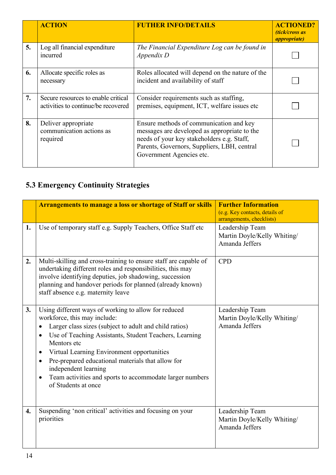|    | <b>ACTION</b>                                                              | <b>FUTHER INFO/DETAILS</b>                                                                                                                                                                                       | <b>ACTIONED?</b><br>(tick/cross as<br><i>appropriate</i> ) |
|----|----------------------------------------------------------------------------|------------------------------------------------------------------------------------------------------------------------------------------------------------------------------------------------------------------|------------------------------------------------------------|
| 5. | Log all financial expenditure<br>incurred                                  | The Financial Expenditure Log can be found in<br>Appendix D                                                                                                                                                      |                                                            |
| 6. | Allocate specific roles as<br>necessary                                    | Roles allocated will depend on the nature of the<br>incident and availability of staff                                                                                                                           |                                                            |
| 7. | Secure resources to enable critical<br>activities to continue/be recovered | Consider requirements such as staffing,<br>premises, equipment, ICT, welfare issues etc                                                                                                                          |                                                            |
| 8. | Deliver appropriate<br>communication actions as<br>required                | Ensure methods of communication and key<br>messages are developed as appropriate to the<br>needs of your key stakeholders e.g. Staff,<br>Parents, Governors, Suppliers, LBH, central<br>Government Agencies etc. |                                                            |

# **5.3 Emergency Continuity Strategies**

|                    | <b>Arrangements to manage a loss or shortage of Staff or skills</b>                                                                                                                                                                                                                                                                                                                                                                                                                                    | <b>Further Information</b><br>(e.g. Key contacts, details of<br>arrangements, checklists) |
|--------------------|--------------------------------------------------------------------------------------------------------------------------------------------------------------------------------------------------------------------------------------------------------------------------------------------------------------------------------------------------------------------------------------------------------------------------------------------------------------------------------------------------------|-------------------------------------------------------------------------------------------|
| 1.                 | Use of temporary staff e.g. Supply Teachers, Office Staff etc                                                                                                                                                                                                                                                                                                                                                                                                                                          | Leadership Team<br>Martin Doyle/Kelly Whiting/<br>Amanda Jeffers                          |
| 2.                 | Multi-skilling and cross-training to ensure staff are capable of<br>undertaking different roles and responsibilities, this may<br>involve identifying deputies, job shadowing, succession<br>planning and handover periods for planned (already known)<br>staff absence e.g. maternity leave                                                                                                                                                                                                           | <b>CPD</b>                                                                                |
| 3.                 | Using different ways of working to allow for reduced<br>workforce, this may include:<br>Larger class sizes (subject to adult and child ratios)<br>$\bullet$<br>Use of Teaching Assistants, Student Teachers, Learning<br>$\bullet$<br>Mentors etc<br>Virtual Learning Environment opportunities<br>$\bullet$<br>Pre-prepared educational materials that allow for<br>$\bullet$<br>independent learning<br>Team activities and sports to accommodate larger numbers<br>$\bullet$<br>of Students at once | Leadership Team<br>Martin Doyle/Kelly Whiting/<br>Amanda Jeffers                          |
| $\boldsymbol{4}$ . | Suspending 'non critical' activities and focusing on your<br>priorities                                                                                                                                                                                                                                                                                                                                                                                                                                | Leadership Team<br>Martin Doyle/Kelly Whiting/<br>Amanda Jeffers                          |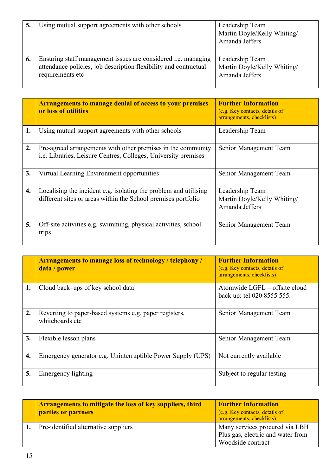|    | Using mutual support agreements with other schools                                                                                                           | Leadership Team<br>Martin Doyle/Kelly Whiting/<br>Amanda Jeffers |
|----|--------------------------------------------------------------------------------------------------------------------------------------------------------------|------------------------------------------------------------------|
| 6. | Ensuring staff management issues are considered <i>i.e.</i> managing<br>attendance policies, job description flexibility and contractual<br>requirements etc | Leadership Team<br>Martin Doyle/Kelly Whiting/<br>Amanda Jeffers |

|    | <b>Arrangements to manage denial of access to your premises</b><br>or loss of utilities                                           | <b>Further Information</b><br>(e.g. Key contacts, details of<br>arrangements, checklists) |
|----|-----------------------------------------------------------------------------------------------------------------------------------|-------------------------------------------------------------------------------------------|
| 1. | Using mutual support agreements with other schools                                                                                | Leadership Team                                                                           |
| 2. | Pre-agreed arrangements with other premises in the community<br>i.e. Libraries, Leisure Centres, Colleges, University premises    | Senior Management Team                                                                    |
| 3. | Virtual Learning Environment opportunities                                                                                        | Senior Management Team                                                                    |
| 4. | Localising the incident e.g. isolating the problem and utilising<br>different sites or areas within the School premises portfolio | Leadership Team<br>Martin Doyle/Kelly Whiting/<br>Amanda Jeffers                          |
| 5. | Off-site activities e.g. swimming, physical activities, school<br>trips                                                           | Senior Management Team                                                                    |

|    | <b>Arrangements to manage loss of technology / telephony /</b><br>data / power | <b>Further Information</b><br>(e.g. Key contacts, details of<br>arrangements, checklists) |
|----|--------------------------------------------------------------------------------|-------------------------------------------------------------------------------------------|
| 1. | Cloud back-ups of key school data                                              | Atomwide LGFL – offsite cloud<br>back up: tel 020 8555 555.                               |
| 2. | Reverting to paper-based systems e.g. paper registers,<br>whiteboards etc      | Senior Management Team                                                                    |
| 3. | Flexible lesson plans                                                          | Senior Management Team                                                                    |
| 4. | Emergency generator e.g. Uninterruptible Power Supply (UPS)                    | Not currently available                                                                   |
| 5. | Emergency lighting                                                             | Subject to regular testing                                                                |

| <b>Arrangements to mitigate the loss of key suppliers, third</b><br>parties or partners | <b>Further Information</b><br>(e.g. Key contacts, details of<br>arrangements, checklists) |
|-----------------------------------------------------------------------------------------|-------------------------------------------------------------------------------------------|
| Pre-identified alternative suppliers                                                    | Many services procured via LBH<br>Plus gas, electric and water from<br>Woodside contract  |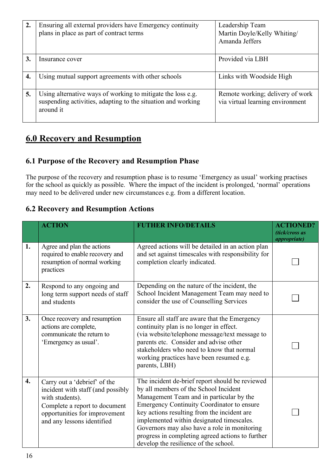| $\overline{2}$ . | Ensuring all external providers have Emergency continuity<br>plans in place as part of contract terms                                    | Leadership Team<br>Martin Doyle/Kelly Whiting/<br>Amanda Jeffers     |
|------------------|------------------------------------------------------------------------------------------------------------------------------------------|----------------------------------------------------------------------|
|                  |                                                                                                                                          |                                                                      |
| 3.               | Insurance cover                                                                                                                          | Provided via LBH                                                     |
|                  |                                                                                                                                          |                                                                      |
| 4.               | Using mutual support agreements with other schools                                                                                       | Links with Woodside High                                             |
| 5.               | Using alternative ways of working to mitigate the loss e.g.<br>suspending activities, adapting to the situation and working<br>around it | Remote working; delivery of work<br>via virtual learning environment |

## **6.0 Recovery and Resumption**

### **6.1 Purpose of the Recovery and Resumption Phase**

The purpose of the recovery and resumption phase is to resume 'Emergency as usual' working practises for the school as quickly as possible. Where the impact of the incident is prolonged, 'normal' operations may need to be delivered under new circumstances e.g. from a different location.

### **6.2 Recovery and Resumption Actions**

|                    | <b>ACTION</b>                                                                                                                                                                        | <b>FUTHER INFO/DETAILS</b>                                                                                                                                                                                                                                                                                                                                                                                                         | <b>ACTIONED?</b><br>(tick/cross as<br><i>appropriate</i> ) |
|--------------------|--------------------------------------------------------------------------------------------------------------------------------------------------------------------------------------|------------------------------------------------------------------------------------------------------------------------------------------------------------------------------------------------------------------------------------------------------------------------------------------------------------------------------------------------------------------------------------------------------------------------------------|------------------------------------------------------------|
| 1.                 | Agree and plan the actions<br>required to enable recovery and<br>resumption of normal working<br>practices                                                                           | Agreed actions will be detailed in an action plan<br>and set against timescales with responsibility for<br>completion clearly indicated.                                                                                                                                                                                                                                                                                           |                                                            |
| 2.                 | Respond to any ongoing and<br>long term support needs of staff<br>and students                                                                                                       | Depending on the nature of the incident, the<br>School Incident Management Team may need to<br>consider the use of Counselling Services                                                                                                                                                                                                                                                                                            |                                                            |
| 3.                 | Once recovery and resumption<br>actions are complete,<br>communicate the return to<br>'Emergency as usual'.                                                                          | Ensure all staff are aware that the Emergency<br>continuity plan is no longer in effect.<br>(via website/telephone message/text message to<br>parents etc. Consider and advise other<br>stakeholders who need to know that normal<br>working practices have been resumed e.g.<br>parents, LBH)                                                                                                                                     |                                                            |
| $\boldsymbol{4}$ . | Carry out a 'debrief' of the<br>incident with staff (and possibly<br>with students).<br>Complete a report to document<br>opportunities for improvement<br>and any lessons identified | The incident de-brief report should be reviewed<br>by all members of the School Incident<br>Management Team and in particular by the<br><b>Emergency Continuity Coordinator to ensure</b><br>key actions resulting from the incident are<br>implemented within designated timescales.<br>Governors may also have a role in monitoring<br>progress in completing agreed actions to further<br>develop the resilience of the school. |                                                            |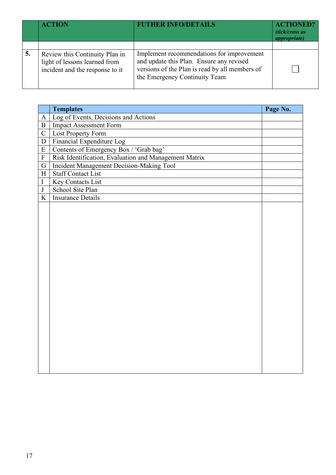|    | <b>ACTION</b>                                                                                      | <b>FUTHER INFO/DETAILS</b>                                                                                                                                               | <b>ACTIONED?</b><br>(tick/cross as<br><i>appropriate</i> ) |
|----|----------------------------------------------------------------------------------------------------|--------------------------------------------------------------------------------------------------------------------------------------------------------------------------|------------------------------------------------------------|
| 5. | Review this Continuity Plan in<br>light of lessons learned from<br>incident and the response to it | Implement recommendations for improvement<br>and update this Plan. Ensure any revised<br>versions of the Plan is read by all members of<br>the Emergency Continuity Team |                                                            |

|                | <b>Templates</b>                                      | Page No. |
|----------------|-------------------------------------------------------|----------|
| $\mathbf{A}$   | Log of Events, Decisions and Actions                  |          |
| $\overline{B}$ | <b>Impact Assessment Form</b>                         |          |
| $\mathcal{C}$  | Lost Property Form                                    |          |
| $\mathbf D$    | Financial Expenditure Log                             |          |
| ${\bf E}$      | Contents of Emergency Box / 'Grab bag'                |          |
| $\mathbf F$    | Risk Identification, Evaluation and Management Matrix |          |
| G              | <b>Incident Management Decision-Making Tool</b>       |          |
| H              | <b>Staff Contact List</b>                             |          |
| $\bf I$        | Key Contacts List                                     |          |
| $\bf J$        | School Site Plan                                      |          |
| $\overline{K}$ | <b>Insurance Details</b>                              |          |
|                |                                                       |          |
|                |                                                       |          |
|                |                                                       |          |
|                |                                                       |          |
|                |                                                       |          |
|                |                                                       |          |
|                |                                                       |          |
|                |                                                       |          |
|                |                                                       |          |
|                |                                                       |          |
|                |                                                       |          |
|                |                                                       |          |
|                |                                                       |          |
|                |                                                       |          |
|                |                                                       |          |
|                |                                                       |          |
|                |                                                       |          |
|                |                                                       |          |
|                |                                                       |          |
|                |                                                       |          |
|                |                                                       |          |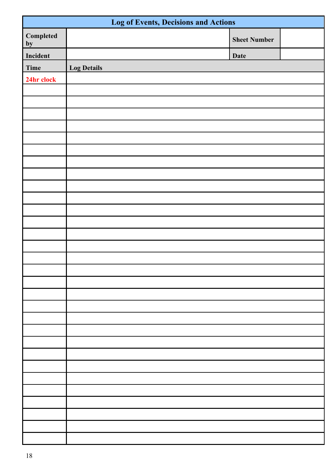| <b>Log of Events, Decisions and Actions</b> |                    |                     |  |
|---------------------------------------------|--------------------|---------------------|--|
| Completed<br>by                             |                    | <b>Sheet Number</b> |  |
| Incident                                    |                    | <b>Date</b>         |  |
| Time                                        | <b>Log Details</b> |                     |  |
| 24hr clock                                  |                    |                     |  |
|                                             |                    |                     |  |
|                                             |                    |                     |  |
|                                             |                    |                     |  |
|                                             |                    |                     |  |
|                                             |                    |                     |  |
|                                             |                    |                     |  |
|                                             |                    |                     |  |
|                                             |                    |                     |  |
|                                             |                    |                     |  |
|                                             |                    |                     |  |
|                                             |                    |                     |  |
|                                             |                    |                     |  |
|                                             |                    |                     |  |
|                                             |                    |                     |  |
|                                             |                    |                     |  |
|                                             |                    |                     |  |
|                                             |                    |                     |  |
|                                             |                    |                     |  |
|                                             |                    |                     |  |
|                                             |                    |                     |  |
|                                             |                    |                     |  |
|                                             |                    |                     |  |
|                                             |                    |                     |  |
|                                             |                    |                     |  |
|                                             |                    |                     |  |
|                                             |                    |                     |  |
|                                             |                    |                     |  |
|                                             |                    |                     |  |
|                                             |                    |                     |  |
|                                             |                    |                     |  |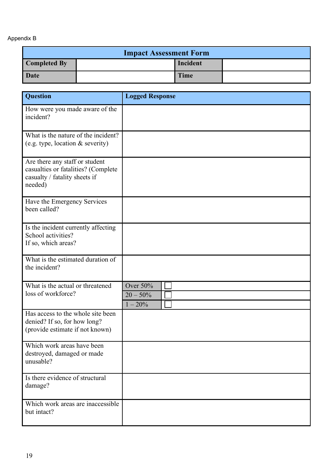#### Appendix B

| <b>Impact Assessment Form</b> |  |             |  |
|-------------------------------|--|-------------|--|
| <b>Completed By</b>           |  | Incident    |  |
| Date                          |  | <b>Time</b> |  |

| <b>Question</b>                                                                                                   | <b>Logged Response</b>    |
|-------------------------------------------------------------------------------------------------------------------|---------------------------|
| How were you made aware of the<br>incident?                                                                       |                           |
| What is the nature of the incident?<br>(e.g. type, location & severity)                                           |                           |
| Are there any staff or student<br>casualties or fatalities? (Complete<br>casualty / fatality sheets if<br>needed) |                           |
| Have the Emergency Services<br>been called?                                                                       |                           |
| Is the incident currently affecting<br>School activities?<br>If so, which areas?                                  |                           |
| What is the estimated duration of<br>the incident?                                                                |                           |
| What is the actual or threatened                                                                                  | Over 50%                  |
| loss of workforce?                                                                                                | $20 - 50\%$<br>$1 - 20\%$ |
| Has access to the whole site been<br>denied? If so, for how long?<br>(provide estimate if not known)              |                           |
| Which work areas have been<br>destroyed, damaged or made<br>unusable?                                             |                           |
| Is there evidence of structural<br>damage?                                                                        |                           |
| Which work areas are inaccessible<br>but intact?                                                                  |                           |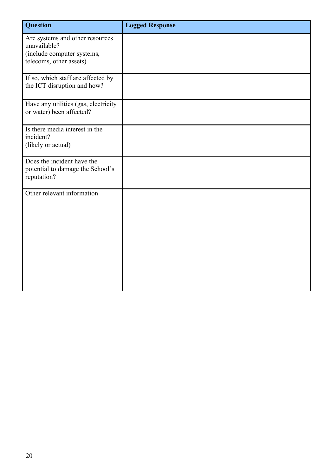| Question                                                                      | <b>Logged Response</b> |
|-------------------------------------------------------------------------------|------------------------|
| Are systems and other resources<br>unavailable?                               |                        |
| (include computer systems,<br>telecoms, other assets)                         |                        |
| If so, which staff are affected by<br>the ICT disruption and how?             |                        |
| Have any utilities (gas, electricity<br>or water) been affected?              |                        |
| Is there media interest in the<br>incident?                                   |                        |
| (likely or actual)                                                            |                        |
| Does the incident have the<br>potential to damage the School's<br>reputation? |                        |
| Other relevant information                                                    |                        |
|                                                                               |                        |
|                                                                               |                        |
|                                                                               |                        |
|                                                                               |                        |
|                                                                               |                        |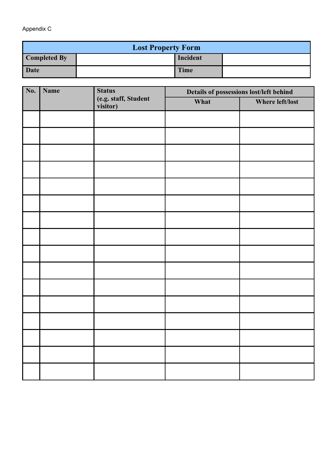Appendix C

| <b>Lost Property Form</b> |  |             |  |
|---------------------------|--|-------------|--|
| <b>Completed By</b>       |  | Incident    |  |
| Date                      |  | <b>Time</b> |  |

| No. | Name | <b>Status</b>                    | Details of possessions lost/left behind |                 |
|-----|------|----------------------------------|-----------------------------------------|-----------------|
|     |      | (e.g. staff, Student<br>visitor) | What                                    | Where left/lost |
|     |      |                                  |                                         |                 |
|     |      |                                  |                                         |                 |
|     |      |                                  |                                         |                 |
|     |      |                                  |                                         |                 |
|     |      |                                  |                                         |                 |
|     |      |                                  |                                         |                 |
|     |      |                                  |                                         |                 |
|     |      |                                  |                                         |                 |
|     |      |                                  |                                         |                 |
|     |      |                                  |                                         |                 |
|     |      |                                  |                                         |                 |
|     |      |                                  |                                         |                 |
|     |      |                                  |                                         |                 |
|     |      |                                  |                                         |                 |
|     |      |                                  |                                         |                 |
|     |      |                                  |                                         |                 |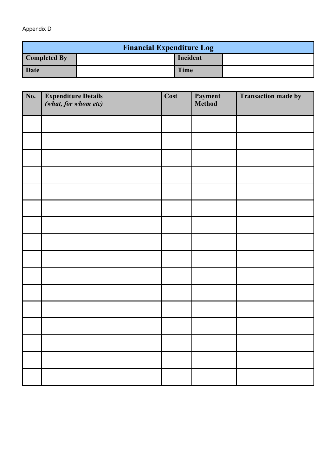#### Appendix D

| <b>Financial Expenditure Log</b> |  |             |  |
|----------------------------------|--|-------------|--|
| Completed By                     |  | Incident    |  |
| Date                             |  | <b>Time</b> |  |

| No. | <b>Expenditure Details</b><br>(what, for whom etc) | Cost | <b>Payment</b><br>Method | <b>Transaction made by</b> |
|-----|----------------------------------------------------|------|--------------------------|----------------------------|
|     |                                                    |      |                          |                            |
|     |                                                    |      |                          |                            |
|     |                                                    |      |                          |                            |
|     |                                                    |      |                          |                            |
|     |                                                    |      |                          |                            |
|     |                                                    |      |                          |                            |
|     |                                                    |      |                          |                            |
|     |                                                    |      |                          |                            |
|     |                                                    |      |                          |                            |
|     |                                                    |      |                          |                            |
|     |                                                    |      |                          |                            |
|     |                                                    |      |                          |                            |
|     |                                                    |      |                          |                            |
|     |                                                    |      |                          |                            |
|     |                                                    |      |                          |                            |
|     |                                                    |      |                          |                            |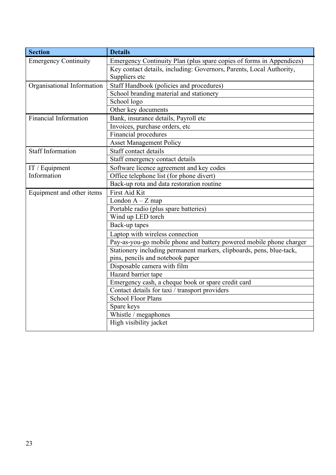| <b>Section</b>              | <b>Details</b>                                                       |
|-----------------------------|----------------------------------------------------------------------|
| <b>Emergency Continuity</b> | Emergency Continuity Plan (plus spare copies of forms in Appendices) |
|                             | Key contact details, including: Governors, Parents, Local Authority, |
|                             | Suppliers etc                                                        |
| Organisational Information  | Staff Handbook (policies and procedures)                             |
|                             | School branding material and stationery                              |
|                             | School logo                                                          |
|                             | Other key documents                                                  |
| Financial Information       | Bank, insurance details, Payroll etc                                 |
|                             | Invoices, purchase orders, etc                                       |
|                             | Financial procedures                                                 |
|                             | <b>Asset Management Policy</b>                                       |
| <b>Staff Information</b>    | Staff contact details                                                |
|                             | Staff emergency contact details                                      |
| IT / Equipment              | Software licence agreement and key codes                             |
| Information                 | Office telephone list (for phone divert)                             |
|                             | Back-up rota and data restoration routine                            |
| Equipment and other items   | First Aid Kit                                                        |
|                             | London $A - Z$ map                                                   |
|                             | Portable radio (plus spare batteries)                                |
|                             | Wind up LED torch                                                    |
|                             | Back-up tapes                                                        |
|                             | Laptop with wireless connection                                      |
|                             | Pay-as-you-go mobile phone and battery powered mobile phone charger  |
|                             | Stationery including permanent markers, clipboards, pens, blue-tack, |
|                             | pins, pencils and notebook paper                                     |
|                             | Disposable camera with film                                          |
|                             | Hazard barrier tape                                                  |
|                             | Emergency cash, a cheque book or spare credit card                   |
|                             | Contact details for taxi / transport providers                       |
|                             | School Floor Plans                                                   |
|                             | Spare keys                                                           |
|                             | Whistle / megaphones                                                 |
|                             | High visibility jacket                                               |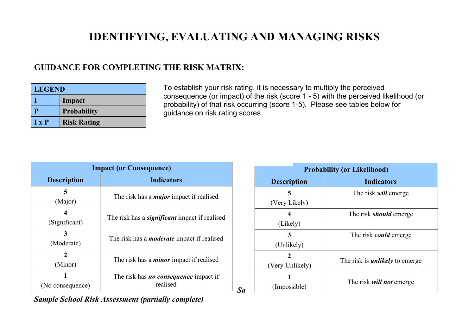# **IDENTIFYING, EVALUATING AND MANAGING RISKS**

*Sa*

### **GUIDANCE FOR COMPLETING THE RISK MATRIX:**

| <b>LEGEND</b> |                    |  |
|---------------|--------------------|--|
|               | Impact             |  |
| Р             | <b>Probability</b> |  |
| $I \times P$  | <b>Risk Rating</b> |  |

To establish your risk rating, it is necessary to multiply the perceived consequence (or impact) of the risk (score 1 - 5) with the perceived likelihood (or probability) of that risk occurring (score 1-5). Please see tables below for guidance on risk rating scores.

| <b>Impact (or Consequence)</b> |                                                                 |  |  |
|--------------------------------|-----------------------------------------------------------------|--|--|
| <b>Description</b>             | <b>Indicators</b>                                               |  |  |
| (Major)                        | The risk has a <i>major</i> impact if realised                  |  |  |
| (Significant)                  | The risk has a <b><i>significant</i></b> impact if realised     |  |  |
| (Moderate)                     | The risk has a <i>moderate</i> impact if realised               |  |  |
| (Minor)                        | The risk has a <i>minor</i> impact if realised                  |  |  |
| (No consequence)               | The risk has <b><i>no consequence</i></b> impact if<br>realised |  |  |

| <b>Probability (or Likelihood)</b> |                                       |  |  |  |
|------------------------------------|---------------------------------------|--|--|--|
| <b>Description</b>                 | <b>Indicators</b>                     |  |  |  |
| 5                                  | The risk <i>will</i> emerge           |  |  |  |
| (Very Likely)                      |                                       |  |  |  |
|                                    | The risk <i>should</i> emerge         |  |  |  |
| (Likely)                           |                                       |  |  |  |
| 3                                  | The risk <i>could</i> emerge          |  |  |  |
| (Unlikely)                         |                                       |  |  |  |
| 2                                  |                                       |  |  |  |
| (Very Unlikely)                    | The risk is <i>unlikely</i> to emerge |  |  |  |
|                                    |                                       |  |  |  |
| (Impossible)                       | The risk <i>will not</i> emerge       |  |  |  |

*Sample School Risk Assessment (partially complete)*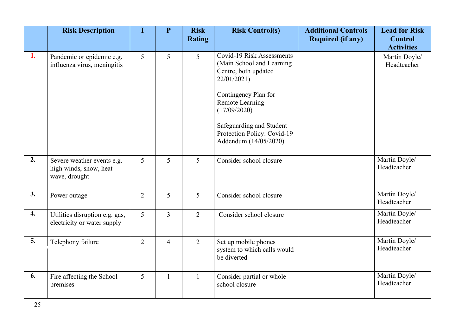|                  | <b>Risk Description</b>                                               |                | $\mathbf{P}$   | <b>Risk</b><br><b>Rating</b> | <b>Risk Control(s)</b>                                                                                                                                                                                                                        | <b>Additional Controls</b><br><b>Required (if any)</b> | <b>Lead for Risk</b><br><b>Control</b>            |
|------------------|-----------------------------------------------------------------------|----------------|----------------|------------------------------|-----------------------------------------------------------------------------------------------------------------------------------------------------------------------------------------------------------------------------------------------|--------------------------------------------------------|---------------------------------------------------|
| 1.               | Pandemic or epidemic e.g.<br>influenza virus, meningitis              | 5              | 5              | 5                            | Covid-19 Risk Assessments<br>(Main School and Learning)<br>Centre, both updated<br>22/01/2021)<br>Contingency Plan for<br>Remote Learning<br>(17/09/2020)<br>Safeguarding and Student<br>Protection Policy: Covid-19<br>Addendum (14/05/2020) |                                                        | <b>Activities</b><br>Martin Doyle/<br>Headteacher |
| 2.               | Severe weather events e.g.<br>high winds, snow, heat<br>wave, drought | 5              | 5              | 5                            | Consider school closure                                                                                                                                                                                                                       |                                                        | Martin Doyle/<br>Headteacher                      |
| 3.               | Power outage                                                          | $\overline{2}$ | 5              | 5                            | Consider school closure                                                                                                                                                                                                                       |                                                        | Martin Doyle/<br>Headteacher                      |
| $\overline{4}$ . | Utilities disruption e.g. gas,<br>electricity or water supply         | 5              | $\overline{3}$ | 2                            | Consider school closure                                                                                                                                                                                                                       |                                                        | Martin Doyle/<br>Headteacher                      |
| 5.               | Telephony failure                                                     | $\overline{2}$ | $\overline{4}$ | 2                            | Set up mobile phones<br>system to which calls would<br>be diverted                                                                                                                                                                            |                                                        | Martin Doyle/<br>Headteacher                      |
| 6.               | Fire affecting the School<br>premises                                 | 5              | $\mathbf{1}$   |                              | Consider partial or whole<br>school closure                                                                                                                                                                                                   |                                                        | Martin Doyle/<br>Headteacher                      |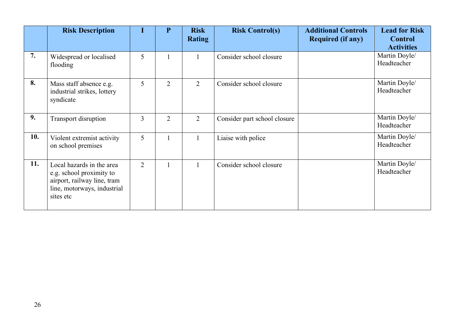|     | <b>Risk Description</b>                                                                                                          |                | ${\bf P}$      | <b>Risk</b><br><b>Rating</b> | <b>Risk Control(s)</b>       | <b>Additional Controls</b><br><b>Required (if any)</b> | <b>Lead for Risk</b><br><b>Control</b><br><b>Activities</b> |
|-----|----------------------------------------------------------------------------------------------------------------------------------|----------------|----------------|------------------------------|------------------------------|--------------------------------------------------------|-------------------------------------------------------------|
| 7.  | Widespread or localised<br>flooding                                                                                              | 5              |                |                              | Consider school closure      |                                                        | Martin Doyle/<br>Headteacher                                |
| 8.  | Mass staff absence e.g.<br>industrial strikes, lottery<br>syndicate                                                              | 5              | $\overline{2}$ | $\overline{2}$               | Consider school closure      |                                                        | Martin Doyle/<br>Headteacher                                |
| 9.  | <b>Transport disruption</b>                                                                                                      | 3              | $\overline{2}$ | $\overline{2}$               | Consider part school closure |                                                        | Martin Doyle/<br>Headteacher                                |
| 10. | Violent extremist activity<br>on school premises                                                                                 | 5              |                |                              | Liaise with police           |                                                        | Martin Doyle/<br>Headteacher                                |
| 11. | Local hazards in the area<br>e.g. school proximity to<br>airport, railway line, tram<br>line, motorways, industrial<br>sites etc | $\overline{2}$ |                |                              | Consider school closure      |                                                        | Martin Doyle/<br>Headteacher                                |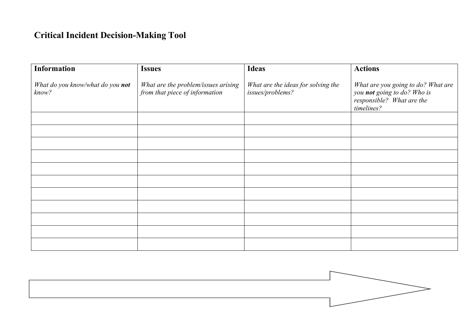## **Critical Incident Decision-Making Tool**

| <b>Information</b>                        | <b>Issues</b>                                                         | <b>Ideas</b>                                           | <b>Actions</b>                                                                                               |
|-------------------------------------------|-----------------------------------------------------------------------|--------------------------------------------------------|--------------------------------------------------------------------------------------------------------------|
| What do you know/what do you not<br>know? | What are the problem/issues arising<br>from that piece of information | What are the ideas for solving the<br>issues/problems? | What are you going to do? What are<br>you not going to do? Who is<br>responsible? What are the<br>timelines? |
|                                           |                                                                       |                                                        |                                                                                                              |
|                                           |                                                                       |                                                        |                                                                                                              |
|                                           |                                                                       |                                                        |                                                                                                              |
|                                           |                                                                       |                                                        |                                                                                                              |
|                                           |                                                                       |                                                        |                                                                                                              |
|                                           |                                                                       |                                                        |                                                                                                              |
|                                           |                                                                       |                                                        |                                                                                                              |
|                                           |                                                                       |                                                        |                                                                                                              |
|                                           |                                                                       |                                                        |                                                                                                              |
|                                           |                                                                       |                                                        |                                                                                                              |
|                                           |                                                                       |                                                        |                                                                                                              |